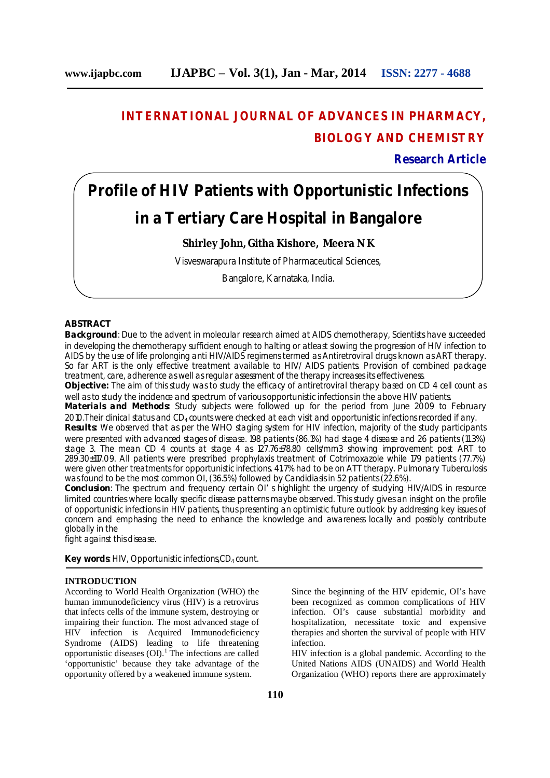# **INTERNATIONAL JOURNAL OF ADVANCES IN PHARMACY, BIOLOGY AND CHEMISTRY**

**Research Article**

# **Profile of HIV Patients with Opportunistic Infections in a Tertiary Care Hospital in Bangalore**

### **Shirley John, Githa Kishore, Meera N K**

Visveswarapura Institute of Pharmaceutical Sciences,

Bangalore, Karnataka, India.

### **ABSTRACT**

**Background**: Due to the advent in molecular research aimed at AIDS chemotherapy, Scientists have succeeded in developing the chemotherapy sufficient enough to halting or atleast slowing the progression of HIV infection to AIDS by the use of life prolonging anti HIV/AIDS regimens termed as Antiretroviral drugs known as ART therapy. So far ART is the only effective treatment available to HIV/ AIDS patients. Provision of combined package treatment, care, adherence as well as regular assessment of the therapy increases its effectiveness.

**Objective:** The aim of this study was to study the efficacy of antiretroviral therapy based on CD 4 cell count as well as to study the incidence and spectrum of various opportunistic infections in the above HIV patients.

**Materials and Methods:** Study subjects were followed up for the period from June 2009 to February 2010. Their clinical status and  $CD_4$  counts were checked at each visit and opportunistic infections recorded if any.

**Results:** We observed that as per the WHO staging system for HIV infection, majority of the study participants were presented with advanced stages of disease. 198 patients (86.1%) had stage 4 disease and 26 patients (11.3%) stage 3. The mean CD 4 counts at stage 4 as 127.76±78.80 cells/mm3 showing improvement post ART to 289.30±117.09. All patients were prescribed prophylaxis treatment of Cotrimoxazole while 179 patients (77.7%) were given other treatments for opportunistic infections. 41.7% had to be on ATT therapy. Pulmonary Tuberculosis was found to be the most common OI, (36.5%) followed by Candidiasis in 52 patients (22.6%).

**Conclusion**: The spectrum and frequency certain OI' s highlight the urgency of studying HIV/AIDS in resource limited countries where locally specific disease patterns maybe observed. This study gives an insight on the profile of opportunistic infections in HIV patients, thus presenting an optimistic future outlook by addressing key issues of concern and emphasing the need to enhance the knowledge and awareness locally and possibly contribute globally in the

fight against this disease.

**Key words: HIV, Opportunistic infections, CD<sub>4</sub> count.** 

#### **INTRODUCTION**

According to World Health Organization (WHO) the human immunodeficiency virus (HIV) is a retrovirus that infects cells of the immune system, destroying or impairing their function. The most advanced stage of HIV infection is Acquired Immunodeficiency Syndrome (AIDS) leading to life threatening opportunistic diseases (OI).<sup>1</sup> The infections are called 'opportunistic' because they take advantage of the opportunity offered by a weakened immune system.

Since the beginning of the HIV epidemic, OI's have been recognized as common complications of HIV infection. OI's cause substantial morbidity and hospitalization, necessitate toxic and expensive therapies and shorten the survival of people with HIV infection.

HIV infection is a global pandemic. According to the United Nations AIDS (UNAIDS) and World Health Organization (WHO) reports there are approximately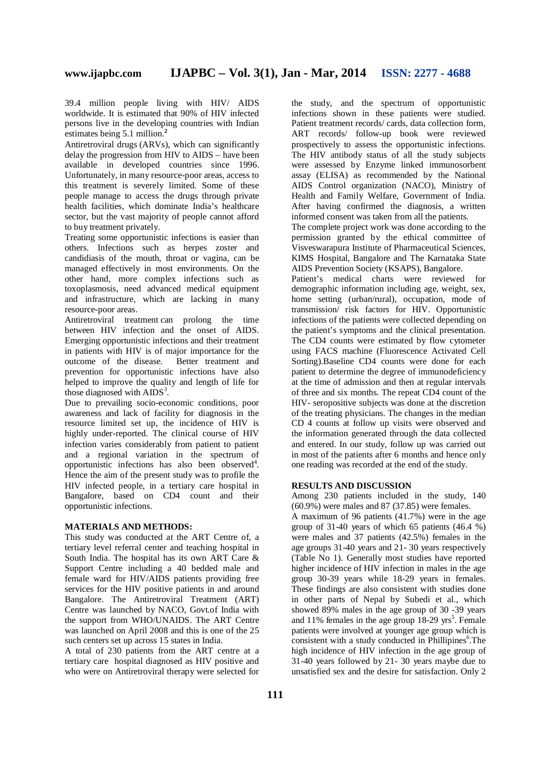39.4 million people living with HIV/ AIDS worldwide. It is estimated that 90% of HIV infected persons live in the developing countries with Indian estimates being 5.1 million.**<sup>2</sup>**

Antiretroviral drugs (ARVs), which can significantly delay the progression from HIV to AIDS – have been available in developed countries since 1996. Unfortunately, in many resource-poor areas, access to this treatment is severely limited. Some of these people manage to access the drugs through private health facilities, which dominate India's healthcare sector, but the vast majority of people cannot afford to buy treatment privately.

Treating some opportunistic infections is easier than others. Infections such as herpes zoster and candidiasis of the mouth, throat or vagina, can be managed effectively in most environments. On the other hand, more complex infections such as toxoplasmosis, need advanced medical equipment and infrastructure, which are lacking in many resource-poor areas.

Antiretroviral treatment can prolong the time between HIV infection and the onset of AIDS. Emerging opportunistic infections and their treatment in patients with HIV is of major importance for the outcome of the disease. Better treatment and prevention for opportunistic infections have also helped to improve the quality and length of life for those diagnosed with  $\angle AIDS^3$ .

Due to prevailing socio-economic conditions, poor awareness and lack of facility for diagnosis in the resource limited set up, the incidence of HIV is highly under-reported. The clinical course of HIV infection varies considerably from patient to patient and a regional variation in the spectrum of opportunistic infections has also been observed<sup>4</sup>. Hence the aim of the present study was to profile the HIV infected people, in a tertiary care hospital in Bangalore, based on CD4 count and their opportunistic infections.

#### **MATERIALS AND METHODS:**

This study was conducted at the ART Centre of, a tertiary level referral center and teaching hospital in South India. The hospital has its own ART Care & Support Centre including a 40 bedded male and female ward for HIV/AIDS patients providing free services for the HIV positive patients in and around Bangalore. The Antiretroviral Treatment (ART) Centre was launched by NACO, Govt.of India with the support from WHO/UNAIDS. The ART Centre was launched on April 2008 and this is one of the 25 such centers set up across 15 states in India.

A total of 230 patients from the ART centre at a tertiary care hospital diagnosed as HIV positive and who were on Antiretroviral therapy were selected for

the study, and the spectrum of opportunistic infections shown in these patients were studied. Patient treatment records/ cards, data collection form, ART records/ follow-up book were reviewed prospectively to assess the opportunistic infections. The HIV antibody status of all the study subjects were assessed by Enzyme linked immunosorbent assay (ELISA) as recommended by the National AIDS Control organization (NACO), Ministry of Health and Family Welfare, Government of India. After having confirmed the diagnosis, a written informed consent was taken from all the patients.

The complete project work was done according to the permission granted by the ethical committee of Visveswarapura Institute of Pharmaceutical Sciences, KIMS Hospital, Bangalore and The Karnataka State AIDS Prevention Society (KSAPS), Bangalore.

Patient's medical charts were reviewed for demographic information including age, weight, sex, home setting (urban/rural), occupation, mode of transmission/ risk factors for HIV. Opportunistic infections of the patients were collected depending on the patient's symptoms and the clinical presentation. The CD4 counts were estimated by flow cytometer using FACS machine (Fluorescence Activated Cell Sorting).Baseline CD4 counts were done for each patient to determine the degree of immunodeficiency at the time of admission and then at regular intervals of three and six months. The repeat CD4 count of the HIV- seropositive subjects was done at the discretion of the treating physicians. The changes in the median CD 4 counts at follow up visits were observed and the information generated through the data collected and entered. In our study, follow up was carried out in most of the patients after 6 months and hence only one reading was recorded at the end of the study.

#### **RESULTS AND DISCUSSION**

Among 230 patients included in the study, 140 (60.9%) were males and 87 (37.85) were females.

A maximum of 96 patients (41.7%) were in the age group of 31-40 years of which 65 patients (46.4 %) were males and 37 patients (42.5%) females in the age groups 31-40 years and 21- 30 years respectively (Table No 1). Generally most studies have reported higher incidence of HIV infection in males in the age group 30-39 years while 18-29 years in females. These findings are also consistent with studies done in other parts of Nepal by Subedi et al., which showed 89% males in the age group of 30 -39 years and 11% females in the age group  $18-29$  yrs<sup>5</sup>. Female patients were involved at younger age group which is consistent with a study conducted in Phillipines<sup>6</sup>. The high incidence of HIV infection in the age group of 31-40 years followed by 21- 30 years maybe due to unsatisfied sex and the desire for satisfaction. Only 2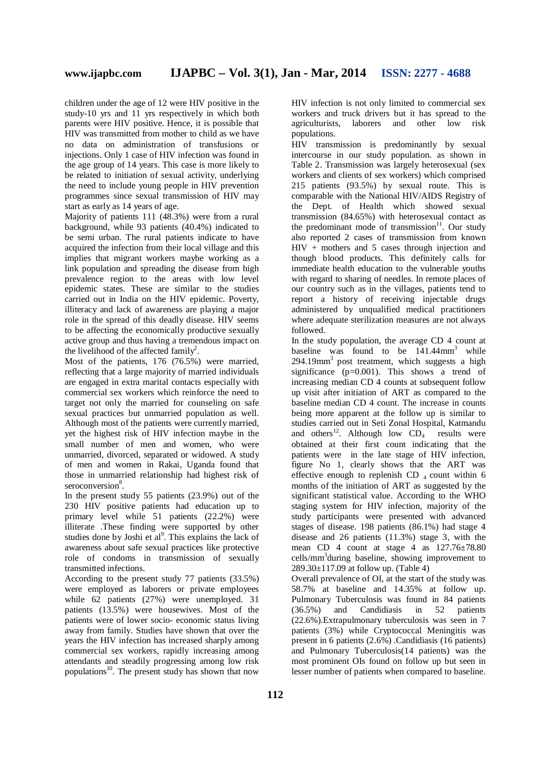children under the age of 12 were HIV positive in the study-10 yrs and 11 yrs respectively in which both parents were HIV positive. Hence, it is possible that HIV was transmitted from mother to child as we have no data on administration of transfusions or injections. Only 1 case of HIV infection was found in the age group of 14 years. This case is more likely to be related to initiation of sexual activity, underlying the need to include young people in HIV prevention programmes since sexual transmission of HIV may start as early as 14 years of age.

Majority of patients 111 (48.3%) were from a rural background, while 93 patients (40.4%) indicated to be semi urban. The rural patients indicate to have acquired the infection from their local village and this implies that migrant workers maybe working as a link population and spreading the disease from high prevalence region to the areas with low level epidemic states. These are similar to the studies carried out in India on the HIV epidemic. Poverty, illiteracy and lack of awareness are playing a major role in the spread of this deadly disease. HIV seems to be affecting the economically productive sexually active group and thus having a tremendous impact on the livelihood of the affected family<sup>2</sup>.

Most of the patients, 176 (76.5%) were married, reflecting that a large majority of married individuals are engaged in extra marital contacts especially with commercial sex workers which reinforce the need to target not only the married for counseling on safe sexual practices but unmarried population as well. Although most of the patients were currently married, yet the highest risk of HIV infection maybe in the small number of men and women, who were unmarried, divorced, separated or widowed. A study of men and women in Rakai, Uganda found that those in unmarried relationship had highest risk of seroconversion<sup>8</sup>.

In the present study 55 patients (23.9%) out of the 230 HIV positive patients had education up to primary level while 51 patients (22.2%) were illiterate .These finding were supported by other studies done by Joshi et al<sup>9</sup>. This explains the lack of awareness about safe sexual practices like protective role of condoms in transmission of sexually transmitted infections.

According to the present study 77 patients (33.5%) were employed as laborers or private employees while 62 patients (27%) were unemployed. 31 patients (13.5%) were housewives. Most of the patients were of lower socio- economic status living away from family. Studies have shown that over the years the HIV infection has increased sharply among commercial sex workers, rapidly increasing among attendants and steadily progressing among low risk populations<sup>10</sup>. The present study has shown that now

HIV infection is not only limited to commercial sex workers and truck drivers but it has spread to the agriculturists, laborers and other low risk populations.

HIV transmission is predominantly by sexual intercourse in our study population. as shown in Table 2. Transmission was largely heterosexual (sex workers and clients of sex workers) which comprised 215 patients (93.5%) by sexual route. This is comparable with the National HIV/AIDS Registry of the Dept. of Health which showed sexual transmission (84.65%) with heterosexual contact as the predominant mode of transmission $11$ . Our study also reported 2 cases of transmission from known  $HIV +$  mothers and 5 cases through injection and though blood products. This definitely calls for immediate health education to the vulnerable youths with regard to sharing of needles. In remote places of our country such as in the villages, patients tend to report a history of receiving injectable drugs administered by unqualified medical practitioners where adequate sterilization measures are not always followed.

In the study population, the average CD 4 count at baseline was found to be  $141.44$ mm<sup>3</sup> while  $294.19$ mm<sup>3</sup> post treatment, which suggests a high significance (p=0.001). This shows a trend of increasing median CD 4 counts at subsequent follow up visit after initiation of ART as compared to the baseline median CD 4 count. The increase in counts being more apparent at the follow up is similar to studies carried out in Seti Zonal Hospital, Katmandu and others<sup>12</sup>. Although low  $CD<sub>4</sub>$  results were obtained at their first count indicating that the patients were in the late stage of HIV infection, figure No 1, clearly shows that the ART was effective enough to replenish CD  $_4$  count within 6 months of the initiation of ART as suggested by the significant statistical value. According to the WHO staging system for HIV infection, majority of the study participants were presented with advanced stages of disease. 198 patients (86.1%) had stage 4 disease and 26 patients (11.3%) stage 3, with the mean CD 4 count at stage 4 as  $127.76\pm78.80$ cells/mm<sup>3</sup>during baseline, showing improvement to 289.30±117.09 at follow up. (Table 4)

Overall prevalence of OI, at the start of the study was 58.7% at baseline and 14.35% at follow up. Pulmonary Tuberculosis was found in 84 patients (36.5%) and Candidiasis in 52 patients (22.6%).Extrapulmonary tuberculosis was seen in 7 patients (3%) while Cryptococcal Meningitis was present in 6 patients (2.6%) .Candidiasis (16 patients) and Pulmonary Tuberculosis(14 patients) was the most prominent OIs found on follow up but seen in lesser number of patients when compared to baseline.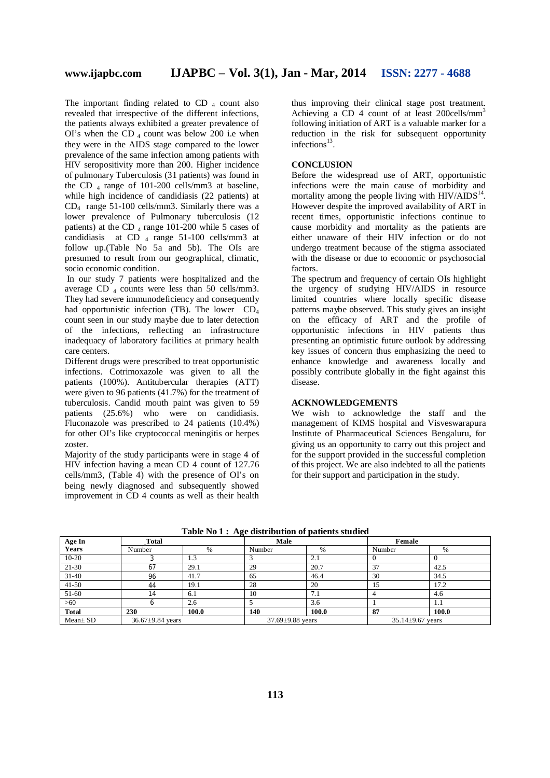The important finding related to  $CD_4$  count also revealed that irrespective of the different infections, the patients always exhibited a greater prevalence of OI's when the CD  $_4$  count was below 200 i.e when they were in the AIDS stage compared to the lower prevalence of the same infection among patients with HIV seropositivity more than 200. Higher incidence of pulmonary Tuberculosis (31 patients) was found in the CD  $_4$  range of 101-200 cells/mm3 at baseline, while high incidence of candidiasis (22 patients) at CD<sup>4</sup> range 51-100 cells/mm3. Similarly there was a lower prevalence of Pulmonary tuberculosis (12 patients) at the CD  $_4$  range 101-200 while 5 cases of candidiasis at CD  $_4$  range 51-100 cells/mm3 at follow up.(Table No 5a and 5b). The OIs are presumed to result from our geographical, climatic, socio economic condition.

In our study 7 patients were hospitalized and the average CD  $_4$  counts were less than 50 cells/mm3. They had severe immunodeficiency and consequently had opportunistic infection (TB). The lower  $CD<sub>4</sub>$ count seen in our study maybe due to later detection of the infections, reflecting an infrastructure inadequacy of laboratory facilities at primary health care centers.

Different drugs were prescribed to treat opportunistic infections. Cotrimoxazole was given to all the patients (100%). Antitubercular therapies (ATT) were given to 96 patients (41.7%) for the treatment of tuberculosis. Candid mouth paint was given to 59 patients (25.6%) who were on candidiasis. Fluconazole was prescribed to 24 patients (10.4%) for other OI's like cryptococcal meningitis or herpes zoster.

Majority of the study participants were in stage 4 of HIV infection having a mean CD 4 count of 127.76 cells/mm3, (Table 4) with the presence of OI's on being newly diagnosed and subsequently showed improvement in CD 4 counts as well as their health

thus improving their clinical stage post treatment. Achieving a CD 4 count of at least  $200$ cells/mm<sup>3</sup> following initiation of ART is a valuable marker for a reduction in the risk for subsequent opportunity infections<sup>13</sup>.

#### **CONCLUSION**

Before the widespread use of ART, opportunistic infections were the main cause of morbidity and mortality among the people living with  $HIV/ALDS<sup>14</sup>$ . However despite the improved availability of ART in recent times, opportunistic infections continue to cause morbidity and mortality as the patients are either unaware of their HIV infection or do not undergo treatment because of the stigma associated with the disease or due to economic or psychosocial factors.

The spectrum and frequency of certain OIs highlight the urgency of studying HIV/AIDS in resource limited countries where locally specific disease patterns maybe observed. This study gives an insight on the efficacy of ART and the profile of opportunistic infections in HIV patients thus presenting an optimistic future outlook by addressing key issues of concern thus emphasizing the need to enhance knowledge and awareness locally and possibly contribute globally in the fight against this disease.

#### **ACKNOWLEDGEMENTS**

We wish to acknowledge the staff and the management of KIMS hospital and Visveswarapura Institute of Pharmaceutical Sciences Bengaluru, for giving us an opportunity to carry out this project and for the support provided in the successful completion of this project. We are also indebted to all the patients for their support and participation in the study.

| Age In       | <b>Total</b>           |       | $-$<br>Male            |       | Female                 |       |  |
|--------------|------------------------|-------|------------------------|-------|------------------------|-------|--|
| <b>Years</b> | Number                 | %     | Number                 | %     | Number                 | $\%$  |  |
| $10 - 20$    |                        | 1.3   |                        | 2.1   |                        |       |  |
| $21-30$      | 67                     | 29.1  | 29                     | 20.7  | 37                     | 42.5  |  |
| $31 - 40$    | 96                     | 41.7  | 65                     | 46.4  | 30                     | 34.5  |  |
| $41 - 50$    | 44                     | 19.1  | 28                     | 20    |                        | 17.2  |  |
| $51-60$      | 14                     | 6.1   | 10                     | 7.1   |                        | 4.6   |  |
| >60          |                        | 2.6   |                        | 3.6   |                        | 1.1   |  |
| <b>Total</b> | 230                    | 100.0 | 140                    | 100.0 | 87                     | 100.0 |  |
| Mean+ SD     | $36.67 \pm 9.84$ years |       | $37.69 \pm 9.88$ years |       | $35.14 \pm 9.67$ years |       |  |

**Table No 1 : Age distribution of patients studied**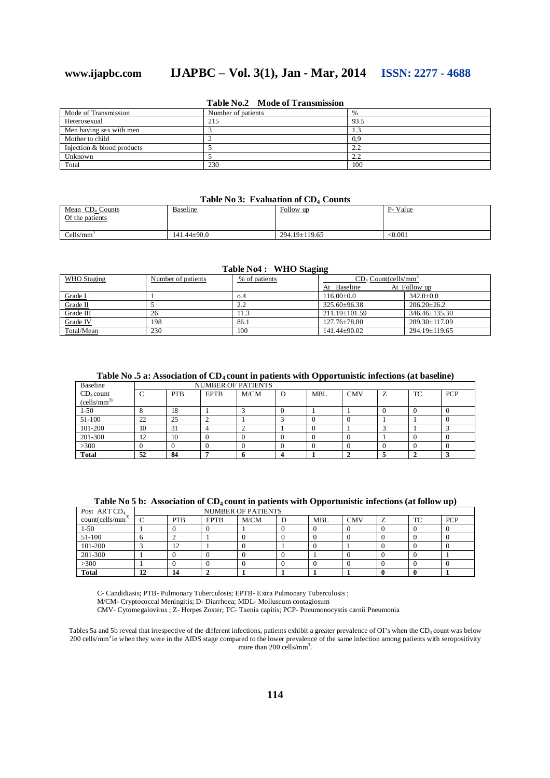# **www.ijapbc.com IJAPBC – Vol. 3(1), Jan - Mar, 2014 ISSN: 2277 - 4688**

| Mode of Transmission       | Number of patients | $\%$       |
|----------------------------|--------------------|------------|
| Heterosexual               | 215                | 93.5       |
| Men having sex with men    |                    |            |
| Mother to child            |                    | 0.9        |
| Injection & blood products |                    | 2.2        |
| Unknown                    |                    | ຳ 1<br>2.Z |
| Total                      | 230                | 100        |

### **Table No.2 Mode of Transmission**

#### **Table No 3: Evaluation of CD4 Counts**

| Mean CD <sub>4</sub> Counts<br>Of the patients | Baseline          | Follow up           | P-Value |
|------------------------------------------------|-------------------|---------------------|---------|
| Cells/mm                                       | $141.44 \pm 90.0$ | $294.19 \pm 119.65$ | < 0.001 |

#### **Table No4 : WHO Staging**

| WHO Staging | Number of patients | % of patients | $CD_4$ Count(cells/mm <sup>3</sup> |                     |  |
|-------------|--------------------|---------------|------------------------------------|---------------------|--|
|             |                    |               | At Baseline                        | At Follow up        |  |
| Grade I     |                    | 0.4           | $116.00+0.0$                       | $342.0 \pm 0.0$     |  |
| Grade II    |                    | າ າ<br>∠.∠    | $325.60 \pm 96.38$                 | $206.20 + 26.2$     |  |
| Grade III   | 26                 | 11.3          | $211.19 \pm 101.59$                | $346.46 \pm 135.30$ |  |
| Grade IV    | 198                | 86.1          | $127.76 \pm 78.80$                 | $289.30 \pm 117.09$ |  |
| Total/Mean  | 230                | 100           | $141.44 \pm 90.02$                 | $294.19 \pm 119.65$ |  |

## **Table No .5 a: Association of CD4 count in patients with Opportunistic infections (at baseline)**

| Baseline                 |               |            |             | <b>NUMBER OF PATIENTS</b> |            |            |   |    |            |
|--------------------------|---------------|------------|-------------|---------------------------|------------|------------|---|----|------------|
| $CD_4$ count             | $\mathcal{C}$ | <b>PTB</b> | <b>EPTB</b> | M/CM                      | <b>MBL</b> | <b>CMV</b> | Z | TC | <b>PCP</b> |
| (cells/mm <sup>3</sup> ) |               |            |             |                           |            |            |   |    |            |
| $1-50$                   |               | 18         |             |                           |            |            |   |    |            |
| 51-100                   | 22            | 25         |             |                           |            |            |   |    |            |
| 101-200                  | 10            | 31         |             |                           |            |            |   |    |            |
| 201-300                  | 12            | 10         |             |                           |            |            |   |    |            |
| >300                     | 0             |            |             |                           |            |            |   |    |            |
| <b>Total</b>             | 52            | 84         |             |                           |            |            |   |    |            |

| Table No 5 b: Association of $CD_4$ count in patients with Opportunistic infections (at follow up) |
|----------------------------------------------------------------------------------------------------|
|                                                                                                    |

| Post ART CD <sub>4</sub> | <b>NUMBER OF PATIENTS</b> |            |             |      |    |            |            |  |    |            |
|--------------------------|---------------------------|------------|-------------|------|----|------------|------------|--|----|------------|
| $count(cells/mm^3)$      | C                         | <b>PTB</b> | <b>EPTB</b> | M/CM | IJ | <b>MBL</b> | <b>CMV</b> |  | TC | <b>PCP</b> |
| $1-50$                   |                           |            |             |      |    |            |            |  |    |            |
| 51-100                   |                           |            |             |      |    |            |            |  |    |            |
| 101-200                  |                           | 12         |             |      |    |            |            |  |    |            |
| 201-300                  |                           |            |             |      |    |            |            |  |    |            |
| >300                     |                           |            |             |      |    |            |            |  |    |            |
| <b>Total</b>             | 12                        | 14         |             |      |    |            |            |  |    |            |

C- Candidiasis; PTB- Pulmonary Tuberculosis; EPTB- Extra Pulmonary Tuberculosis ;

M/CM- Cryptococcal Meningitis; D- Diarrhoea; MDL- Molluscum contagiosum

CMV- Cytomegalovirus ; Z- Herpes Zoster; TC- Taenia capitis; PCP- Pneumonocystis carnii Pneumonia

Tables 5a and 5b reveal that irrespective of the different infections, patients exhibit a greater prevalence of OI's when the CD<sub>4</sub> count was below 200 cells/mm<sup>3</sup>ie when they were in the AIDS stage compared to the lower prevalence of the same infection among patients with seropositivity more than 200 cells/mm<sup>3</sup>.